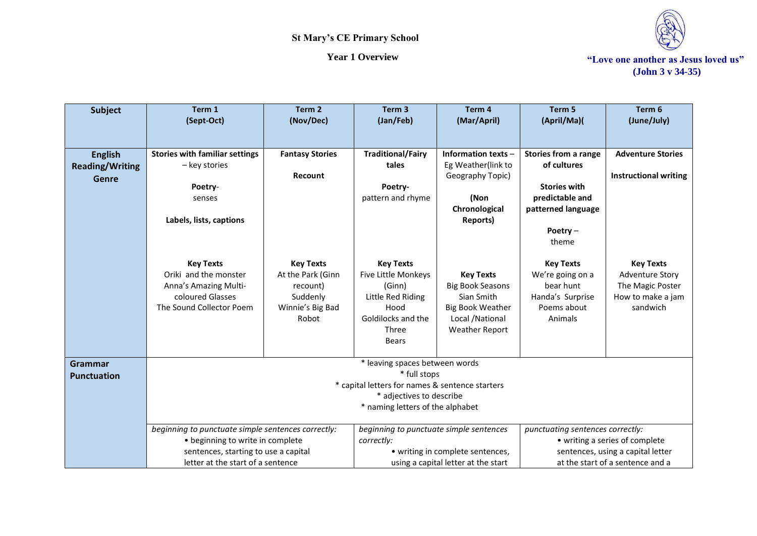

| <b>Subject</b>         | Term 1                                                       | Term <sub>2</sub>      | Term <sub>3</sub>                               | Term 4                              | Term 5                           | Term 6                            |
|------------------------|--------------------------------------------------------------|------------------------|-------------------------------------------------|-------------------------------------|----------------------------------|-----------------------------------|
|                        | (Sept-Oct)                                                   | (Nov/Dec)              | (Jan/Feb)                                       | (Mar/April)                         | (April/Ma)(                      | (June/July)                       |
|                        |                                                              |                        |                                                 |                                     |                                  |                                   |
|                        |                                                              |                        |                                                 |                                     |                                  |                                   |
| <b>English</b>         | <b>Stories with familiar settings</b>                        | <b>Fantasy Stories</b> | <b>Traditional/Fairy</b>                        | Information texts -                 | <b>Stories from a range</b>      | <b>Adventure Stories</b>          |
| <b>Reading/Writing</b> | - key stories                                                |                        | tales                                           | Eg Weather(link to                  | of cultures                      |                                   |
| <b>Genre</b>           |                                                              | Recount                |                                                 | Geography Topic)                    |                                  | <b>Instructional writing</b>      |
|                        | Poetry-                                                      |                        | Poetry-                                         |                                     | <b>Stories with</b>              |                                   |
|                        | senses                                                       |                        | pattern and rhyme                               | (Non                                | predictable and                  |                                   |
|                        | Labels, lists, captions                                      |                        |                                                 | Chronological<br><b>Reports)</b>    | patterned language               |                                   |
|                        |                                                              |                        |                                                 |                                     | Poetry-                          |                                   |
|                        |                                                              |                        |                                                 |                                     | theme                            |                                   |
|                        |                                                              |                        |                                                 |                                     |                                  |                                   |
|                        | <b>Key Texts</b>                                             | <b>Key Texts</b>       | <b>Key Texts</b>                                |                                     | <b>Key Texts</b>                 | <b>Key Texts</b>                  |
|                        | Oriki and the monster                                        | At the Park (Ginn      | Five Little Monkeys                             | <b>Key Texts</b>                    | We're going on a                 | <b>Adventure Story</b>            |
|                        | Anna's Amazing Multi-                                        | recount)               | (Ginn)                                          | <b>Big Book Seasons</b>             | bear hunt                        | The Magic Poster                  |
|                        | coloured Glasses                                             | Suddenly               | Little Red Riding                               | Sian Smith                          | Handa's Surprise                 | How to make a jam                 |
|                        | The Sound Collector Poem                                     | Winnie's Big Bad       | Hood                                            | <b>Big Book Weather</b>             | Poems about                      | sandwich                          |
|                        |                                                              | Robot                  | Goldilocks and the                              | Local /National                     | Animals                          |                                   |
|                        |                                                              |                        | Three                                           | <b>Weather Report</b>               |                                  |                                   |
|                        |                                                              |                        | <b>Bears</b>                                    |                                     |                                  |                                   |
|                        |                                                              |                        |                                                 |                                     |                                  |                                   |
| <b>Grammar</b>         |                                                              |                        | * leaving spaces between words                  |                                     |                                  |                                   |
| <b>Punctuation</b>     |                                                              |                        | * full stops                                    |                                     |                                  |                                   |
|                        |                                                              |                        | * capital letters for names & sentence starters |                                     |                                  |                                   |
|                        | * adjectives to describe<br>* naming letters of the alphabet |                        |                                                 |                                     |                                  |                                   |
|                        |                                                              |                        |                                                 |                                     |                                  |                                   |
|                        | beginning to punctuate simple sentences correctly:           |                        | beginning to punctuate simple sentences         |                                     | punctuating sentences correctly: |                                   |
|                        | • beginning to write in complete                             |                        | correctly:                                      |                                     |                                  | • writing a series of complete    |
|                        | sentences, starting to use a capital                         |                        |                                                 | • writing in complete sentences,    |                                  | sentences, using a capital letter |
|                        | letter at the start of a sentence                            |                        |                                                 | using a capital letter at the start |                                  | at the start of a sentence and a  |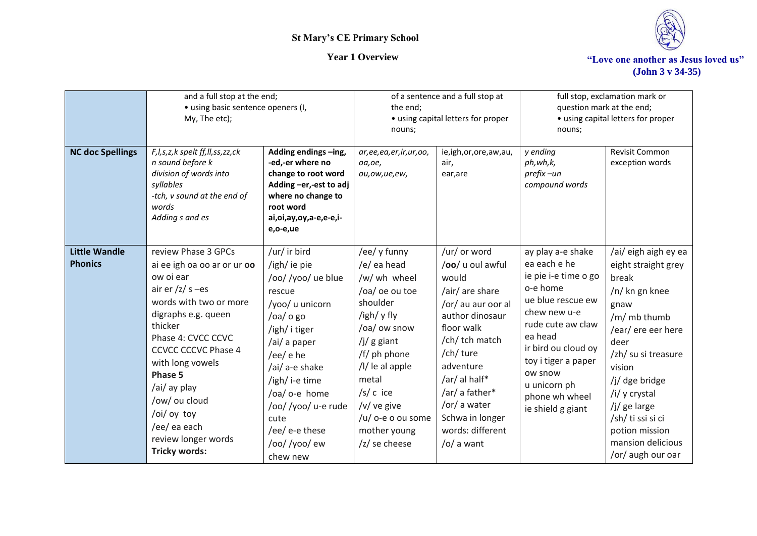

| <b>NC doc Spellings</b>                | and a full stop at the end;<br>· using basic sentence openers (I,<br>My, The etc);<br>F, I, s, z, k spelt ff, II, ss, zz, ck<br>n sound before k<br>division of words into<br>syllables<br>-tch, v sound at the end of<br>words<br>Adding s and es                                                                                                          | Adding endings -ing,<br>-ed,-er where no<br>change to root word<br>Adding -er,-est to adj<br>where no change to<br>root word<br>ai,oi,ay,oy,a-e,e-e,i-<br>e,o-e,ue                                                                                                              | the end;<br>nouns;<br>ar, ee, ea, er, ir, ur, oo,<br>oa, oe,<br>ou,ow,ue,ew,                                                                                                                                                                               | of a sentence and a full stop at<br>• using capital letters for proper<br>ie,igh,or,ore,aw,au,<br>air,<br>ear, are                                                                                                                                                                    | nouns;<br>y ending<br>ph,wh,k,<br>prefix-un<br>compound words                                                                                                                                                                                              | full stop, exclamation mark or<br>question mark at the end;<br>• using capital letters for proper<br>Revisit Common<br>exception words                                                                                                                                                            |
|----------------------------------------|-------------------------------------------------------------------------------------------------------------------------------------------------------------------------------------------------------------------------------------------------------------------------------------------------------------------------------------------------------------|---------------------------------------------------------------------------------------------------------------------------------------------------------------------------------------------------------------------------------------------------------------------------------|------------------------------------------------------------------------------------------------------------------------------------------------------------------------------------------------------------------------------------------------------------|---------------------------------------------------------------------------------------------------------------------------------------------------------------------------------------------------------------------------------------------------------------------------------------|------------------------------------------------------------------------------------------------------------------------------------------------------------------------------------------------------------------------------------------------------------|---------------------------------------------------------------------------------------------------------------------------------------------------------------------------------------------------------------------------------------------------------------------------------------------------|
| <b>Little Wandle</b><br><b>Phonics</b> | review Phase 3 GPCs<br>ai ee igh oa oo ar or ur oo<br>ow oi ear<br>air er $\frac{z}{z}$ s -es<br>words with two or more<br>digraphs e.g. queen<br>thicker<br>Phase 4: CVCC CCVC<br><b>CCVCC CCCVC Phase 4</b><br>with long vowels<br>Phase 5<br>/ai/ ay play<br>/ow/ ou cloud<br>/oi/ oy toy<br>/ee/ ea each<br>review longer words<br><b>Tricky words:</b> | /ur/ ir bird<br>/igh/ ie pie<br>/oo//yoo/ ue blue<br>rescue<br>/yoo/ u unicorn<br>$/$ oa $/$ o go<br>/igh/ i tiger<br>/ai/ a paper<br>/ee/ e he<br>/ai/ a-e shake<br>/igh/ i-e time<br>/oa/ o-e home<br>/oo//yoo/ u-e rude<br>cute<br>/ee/ e-e these<br>/oo//yoo/ew<br>chew new | /ee/ y funny<br>/e/ ea head<br>/w/ wh wheel<br>/oa/ oe ou toe<br>shoulder<br>/igh/ y fly<br>/oa/ ow snow<br>$/j/g$ giant<br>/f/ ph phone<br>$/$ l/ le al apple<br>metal<br>$/s/c$ ice<br>/v/ ve give<br>/u/ o-e o ou some<br>mother young<br>/z/ se cheese | /ur/ or word<br>/oo/ u oul awful<br>would<br>/air/ are share<br>/or/ au aur oor al<br>author dinosaur<br>floor walk<br>/ch/ tch match<br>/ch/ ture<br>adventure<br>/ar/ al half*<br>/ar/ a father*<br>/or/ a water<br>Schwa in longer<br>words: different<br>$\frac{1}{2}$ /o/ a want | ay play a-e shake<br>ea each e he<br>ie pie i-e time o go<br>o-e home<br>ue blue rescue ew<br>chew new u-e<br>rude cute aw claw<br>ea head<br>ir bird ou cloud oy<br>toy i tiger a paper<br>ow snow<br>u unicorn ph<br>phone wh wheel<br>ie shield g giant | /ai/ eigh aigh ey ea<br>eight straight grey<br>break<br>/n/ kn gn knee<br>gnaw<br>/m/ mb thumb<br>/ear/ ere eer here<br>deer<br>/zh/ su si treasure<br>vision<br>/j/ dge bridge<br>/i/ y crystal<br>/j/ ge large<br>/sh/ ti ssi si ci<br>potion mission<br>mansion delicious<br>/or/ augh our oar |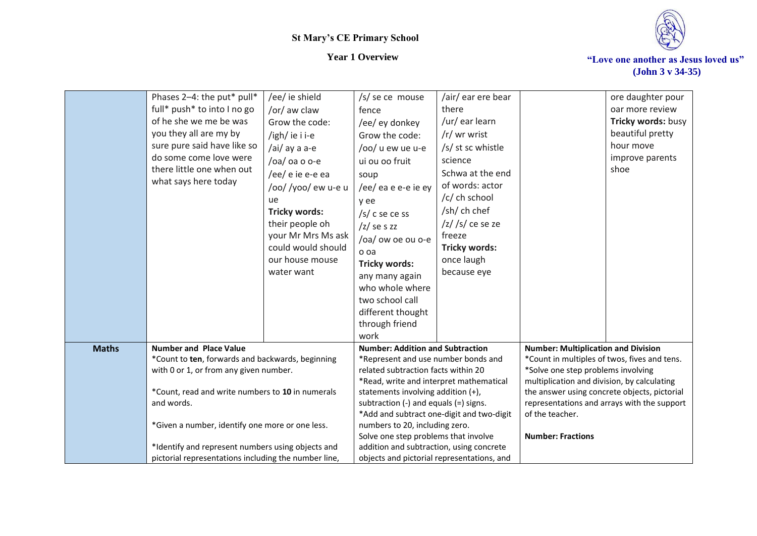



|              | Phases 2-4: the put* pull*                                     | /ee/ ie shield       | /s/ se ce mouse                                                               | /air/ ear ere bear         |                                                                                             | ore daughter pour       |
|--------------|----------------------------------------------------------------|----------------------|-------------------------------------------------------------------------------|----------------------------|---------------------------------------------------------------------------------------------|-------------------------|
|              | full* push* to into I no go                                    | /or/ aw claw         | fence                                                                         | there                      |                                                                                             | oar more review         |
|              | of he she we me be was                                         | Grow the code:       | /ee/ ey donkey                                                                | /ur/ ear learn             |                                                                                             | Tricky words: busy      |
|              | you they all are my by                                         | /igh/ie i i-e        | Grow the code:                                                                | /r/ wr wrist               |                                                                                             | beautiful pretty        |
|              | sure pure said have like so                                    | /ai/ ay a a-e        | /oo/ u ew ue u-e                                                              | /s/ st sc whistle          |                                                                                             | hour move               |
|              | do some come love were<br>there little one when out            | /oa/ oa o o-e        | ui ou oo fruit                                                                | science                    |                                                                                             | improve parents<br>shoe |
|              | what says here today                                           | /ee/ e ie e-e ea     | soup                                                                          | Schwa at the end           |                                                                                             |                         |
|              |                                                                | /oo//yoo/ew u-e u    | /ee/ ea e e-e ie ey                                                           | of words: actor            |                                                                                             |                         |
|              |                                                                | ue                   | y ee                                                                          | /c/ ch school              |                                                                                             |                         |
|              |                                                                | <b>Tricky words:</b> | $/s/c$ se ce ss                                                               | /sh/ ch chef               |                                                                                             |                         |
|              |                                                                | their people oh      | $/z$ ses zz                                                                   | $\frac{z}{s}$ /s/ ce se ze |                                                                                             |                         |
|              |                                                                | your Mr Mrs Ms ask   | /oa/ ow oe ou o-e                                                             | freeze                     |                                                                                             |                         |
|              |                                                                | could would should   | o oa                                                                          | <b>Tricky words:</b>       |                                                                                             |                         |
|              |                                                                | our house mouse      | Tricky words:                                                                 | once laugh                 |                                                                                             |                         |
|              |                                                                | water want           | any many again                                                                | because eye                |                                                                                             |                         |
|              |                                                                |                      | who whole where                                                               |                            |                                                                                             |                         |
|              |                                                                |                      | two school call                                                               |                            |                                                                                             |                         |
|              |                                                                |                      | different thought                                                             |                            |                                                                                             |                         |
|              |                                                                |                      | through friend                                                                |                            |                                                                                             |                         |
|              |                                                                |                      | work                                                                          |                            |                                                                                             |                         |
| <b>Maths</b> | <b>Number and Place Value</b>                                  |                      | <b>Number: Addition and Subtraction</b>                                       |                            | <b>Number: Multiplication and Division</b>                                                  |                         |
|              | *Count to ten, forwards and backwards, beginning               |                      | *Represent and use number bonds and                                           |                            | *Count in multiples of twos, fives and tens.                                                |                         |
|              | with 0 or 1, or from any given number.                         |                      | related subtraction facts within 20                                           |                            | *Solve one step problems involving                                                          |                         |
|              |                                                                |                      | *Read, write and interpret mathematical<br>statements involving addition (+), |                            | multiplication and division, by calculating<br>the answer using concrete objects, pictorial |                         |
|              | *Count, read and write numbers to 10 in numerals<br>and words. |                      | subtraction $(-)$ and equals $(=)$ signs.                                     |                            | representations and arrays with the support                                                 |                         |
|              |                                                                |                      | *Add and subtract one-digit and two-digit                                     |                            | of the teacher.                                                                             |                         |
|              | *Given a number, identify one more or one less.                |                      | numbers to 20, including zero.                                                |                            |                                                                                             |                         |
|              |                                                                |                      | Solve one step problems that involve                                          |                            | <b>Number: Fractions</b>                                                                    |                         |
|              | *Identify and represent numbers using objects and              |                      | addition and subtraction, using concrete                                      |                            |                                                                                             |                         |
|              | pictorial representations including the number line,           |                      | objects and pictorial representations, and                                    |                            |                                                                                             |                         |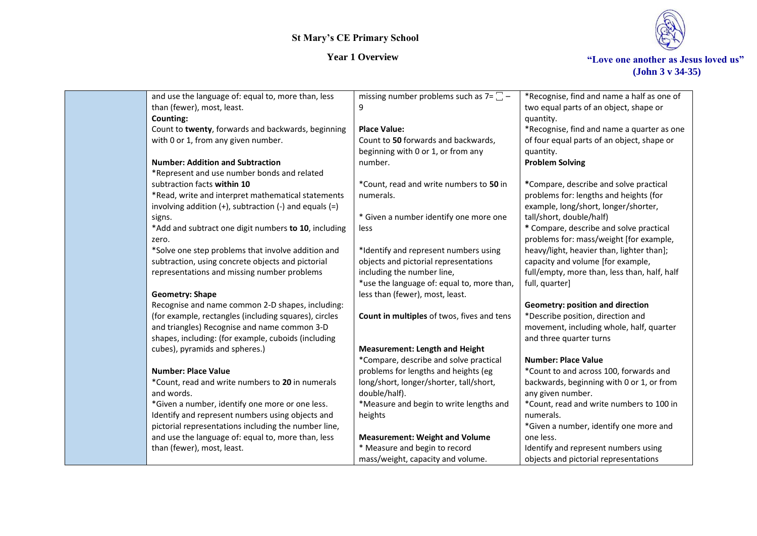



| and use the language of: equal to, more than, less            | missing number problems such as $7 = \square -$ | *Recognise, find and name a half as one of   |
|---------------------------------------------------------------|-------------------------------------------------|----------------------------------------------|
| than (fewer), most, least.                                    | 9                                               | two equal parts of an object, shape or       |
| Counting:                                                     |                                                 | quantity.                                    |
| Count to twenty, forwards and backwards, beginning            | <b>Place Value:</b>                             | *Recognise, find and name a quarter as one   |
| with 0 or 1, from any given number.                           | Count to 50 forwards and backwards,             | of four equal parts of an object, shape or   |
|                                                               | beginning with 0 or 1, or from any              | quantity.                                    |
| <b>Number: Addition and Subtraction</b>                       | number.                                         | <b>Problem Solving</b>                       |
| *Represent and use number bonds and related                   |                                                 |                                              |
| subtraction facts within 10                                   | *Count, read and write numbers to 50 in         | *Compare, describe and solve practical       |
| *Read, write and interpret mathematical statements            | numerals.                                       | problems for: lengths and heights (for       |
| involving addition $(+)$ , subtraction $(-)$ and equals $(=)$ |                                                 | example, long/short, longer/shorter,         |
| signs.                                                        | * Given a number identify one more one          | tall/short, double/half)                     |
| *Add and subtract one digit numbers to 10, including          | less                                            | * Compare, describe and solve practical      |
| zero.                                                         |                                                 | problems for: mass/weight [for example,      |
| *Solve one step problems that involve addition and            | *Identify and represent numbers using           | heavy/light, heavier than, lighter than];    |
| subtraction, using concrete objects and pictorial             | objects and pictorial representations           | capacity and volume [for example,            |
| representations and missing number problems                   | including the number line,                      | full/empty, more than, less than, half, half |
|                                                               | *use the language of: equal to, more than,      | full, quarter]                               |
| <b>Geometry: Shape</b>                                        | less than (fewer), most, least.                 |                                              |
| Recognise and name common 2-D shapes, including:              |                                                 | <b>Geometry: position and direction</b>      |
| (for example, rectangles (including squares), circles         | Count in multiples of twos, fives and tens      | *Describe position, direction and            |
| and triangles) Recognise and name common 3-D                  |                                                 | movement, including whole, half, quarter     |
| shapes, including: (for example, cuboids (including           |                                                 | and three quarter turns                      |
| cubes), pyramids and spheres.)                                | <b>Measurement: Length and Height</b>           |                                              |
|                                                               | *Compare, describe and solve practical          | <b>Number: Place Value</b>                   |
| <b>Number: Place Value</b>                                    | problems for lengths and heights (eg            | *Count to and across 100, forwards and       |
| *Count, read and write numbers to 20 in numerals              | long/short, longer/shorter, tall/short,         | backwards, beginning with 0 or 1, or from    |
| and words.                                                    | double/half).                                   | any given number.                            |
| *Given a number, identify one more or one less.               | *Measure and begin to write lengths and         | *Count, read and write numbers to 100 in     |
| Identify and represent numbers using objects and              | heights                                         | numerals.                                    |
| pictorial representations including the number line,          |                                                 | *Given a number, identify one more and       |
| and use the language of: equal to, more than, less            | <b>Measurement: Weight and Volume</b>           | one less.                                    |
| than (fewer), most, least.                                    | * Measure and begin to record                   | Identify and represent numbers using         |
|                                                               | mass/weight, capacity and volume.               | objects and pictorial representations        |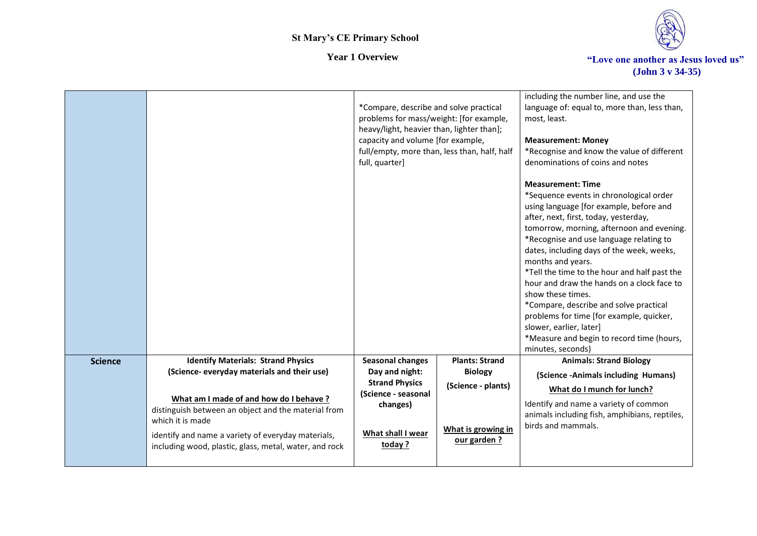

|                |                                                                                                                                                                                                                                   | *Compare, describe and solve practical<br>problems for mass/weight: [for example,<br>heavy/light, heavier than, lighter than];<br>capacity and volume [for example,<br>full/empty, more than, less than, half, half<br>full, quarter] |                                                         | including the number line, and use the<br>language of: equal to, more than, less than,<br>most, least.<br><b>Measurement: Money</b><br>*Recognise and know the value of different<br>denominations of coins and notes                                                                                                                                                                                                                                                                                                                                                                                                   |
|----------------|-----------------------------------------------------------------------------------------------------------------------------------------------------------------------------------------------------------------------------------|---------------------------------------------------------------------------------------------------------------------------------------------------------------------------------------------------------------------------------------|---------------------------------------------------------|-------------------------------------------------------------------------------------------------------------------------------------------------------------------------------------------------------------------------------------------------------------------------------------------------------------------------------------------------------------------------------------------------------------------------------------------------------------------------------------------------------------------------------------------------------------------------------------------------------------------------|
|                |                                                                                                                                                                                                                                   |                                                                                                                                                                                                                                       |                                                         | <b>Measurement: Time</b><br>*Sequence events in chronological order<br>using language [for example, before and<br>after, next, first, today, yesterday,<br>tomorrow, morning, afternoon and evening.<br>*Recognise and use language relating to<br>dates, including days of the week, weeks,<br>months and years.<br>*Tell the time to the hour and half past the<br>hour and draw the hands on a clock face to<br>show these times.<br>*Compare, describe and solve practical<br>problems for time [for example, quicker,<br>slower, earlier, later]<br>*Measure and begin to record time (hours,<br>minutes, seconds) |
| <b>Science</b> | <b>Identify Materials: Strand Physics</b><br>(Science- everyday materials and their use)                                                                                                                                          | <b>Seasonal changes</b><br>Day and night:                                                                                                                                                                                             | <b>Plants: Strand</b><br><b>Biology</b>                 | <b>Animals: Strand Biology</b><br>(Science -Animals including Humans)                                                                                                                                                                                                                                                                                                                                                                                                                                                                                                                                                   |
|                | What am I made of and how do I behave?<br>distinguish between an object and the material from<br>which it is made<br>identify and name a variety of everyday materials,<br>including wood, plastic, glass, metal, water, and rock | <b>Strand Physics</b><br>(Science - seasonal<br>changes)<br>What shall I wear<br>today?                                                                                                                                               | (Science - plants)<br>What is growing in<br>our garden? | What do I munch for lunch?<br>Identify and name a variety of common<br>animals including fish, amphibians, reptiles,<br>birds and mammals.                                                                                                                                                                                                                                                                                                                                                                                                                                                                              |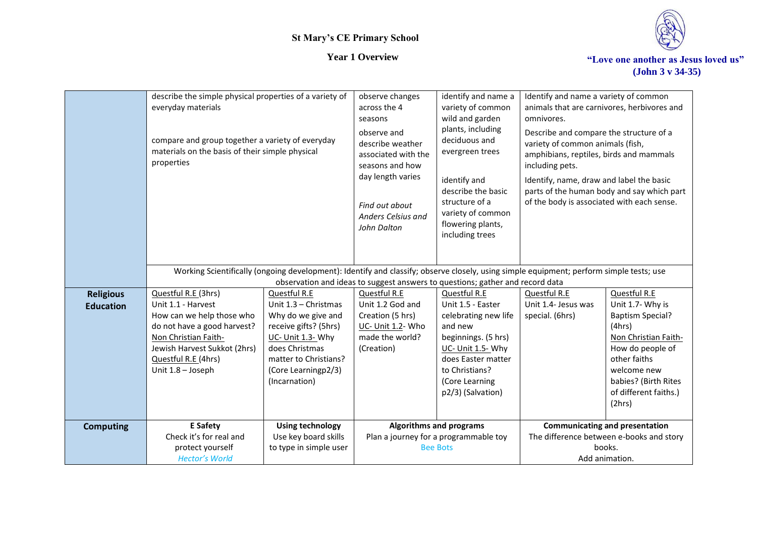

|                                      | describe the simple physical properties of a variety of<br>everyday materials<br>compare and group together a variety of everyday<br>materials on the basis of their simple physical<br>properties        |                                                                                                                                                                                             | observe changes<br>across the 4<br>seasons<br>observe and<br>describe weather<br>associated with the<br>seasons and how<br>day length varies<br>Find out about<br>Anders Celsius and<br>John Dalton | identify and name a<br>variety of common<br>wild and garden<br>plants, including<br>deciduous and<br>evergreen trees<br>identify and<br>describe the basic<br>structure of a<br>variety of common<br>flowering plants,<br>including trees | Identify and name a variety of common<br>animals that are carnivores, herbivores and<br>omnivores.<br>Describe and compare the structure of a<br>variety of common animals (fish,<br>amphibians, reptiles, birds and mammals<br>including pets.<br>Identify, name, draw and label the basic<br>parts of the human body and say which part<br>of the body is associated with each sense. |                                                                                                                                                                                                             |
|--------------------------------------|-----------------------------------------------------------------------------------------------------------------------------------------------------------------------------------------------------------|---------------------------------------------------------------------------------------------------------------------------------------------------------------------------------------------|-----------------------------------------------------------------------------------------------------------------------------------------------------------------------------------------------------|-------------------------------------------------------------------------------------------------------------------------------------------------------------------------------------------------------------------------------------------|-----------------------------------------------------------------------------------------------------------------------------------------------------------------------------------------------------------------------------------------------------------------------------------------------------------------------------------------------------------------------------------------|-------------------------------------------------------------------------------------------------------------------------------------------------------------------------------------------------------------|
|                                      | Working Scientifically (ongoing development): Identify and classify; observe closely, using simple equipment; perform simple tests; use                                                                   |                                                                                                                                                                                             | observation and ideas to suggest answers to questions; gather and record data                                                                                                                       |                                                                                                                                                                                                                                           |                                                                                                                                                                                                                                                                                                                                                                                         |                                                                                                                                                                                                             |
| <b>Religious</b><br><b>Education</b> | Questful R.E (3hrs)<br>Unit 1.1 - Harvest<br>How can we help those who<br>do not have a good harvest?<br>Non Christian Faith-<br>Jewish Harvest Sukkot (2hrs)<br>Questful R.E (4hrs)<br>Unit 1.8 - Joseph | Questful R.E<br>Unit 1.3 - Christmas<br>Why do we give and<br>receive gifts? (5hrs)<br>UC- Unit 1.3- Why<br>does Christmas<br>matter to Christians?<br>(Core Learningp2/3)<br>(Incarnation) | Questful R.E<br>Unit 1.2 God and<br>Creation (5 hrs)<br>UC- Unit 1.2- Who<br>made the world?<br>(Creation)                                                                                          | Questful R.E<br>Unit 1.5 - Easter<br>celebrating new life<br>and new<br>beginnings. (5 hrs)<br>UC- Unit 1.5- Why<br>does Easter matter<br>to Christians?<br>(Core Learning<br>p2/3) (Salvation)                                           | Questful R.E<br>Unit 1.4- Jesus was<br>special. (6hrs)                                                                                                                                                                                                                                                                                                                                  | Questful R.E<br>Unit 1.7- Why is<br><b>Baptism Special?</b><br>(4hrs)<br>Non Christian Faith-<br>How do people of<br>other faiths<br>welcome new<br>babies? (Birth Rites<br>of different faiths.)<br>(2hrs) |
| <b>Computing</b>                     | <b>E</b> Safety<br>Check it's for real and<br>protect yourself<br><b>Hector's World</b>                                                                                                                   | <b>Using technology</b><br>Use key board skills<br>to type in simple user                                                                                                                   |                                                                                                                                                                                                     | Algorithms and programs<br>Plan a journey for a programmable toy<br><b>Bee Bots</b>                                                                                                                                                       | <b>Communicating and presentation</b><br>The difference between e-books and story<br>books.<br>Add animation.                                                                                                                                                                                                                                                                           |                                                                                                                                                                                                             |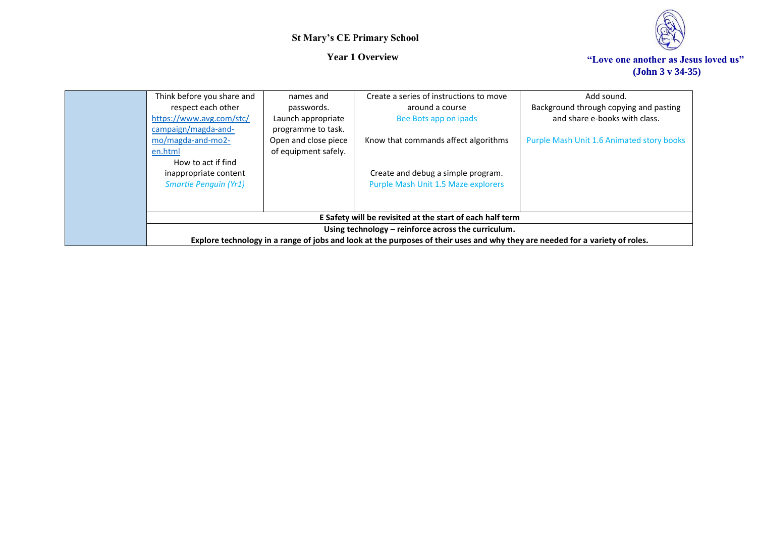

| Think before you share and<br>respect each other<br>https://www.avg.com/stc/<br>campaign/magda-and-<br>mo/magda-and-mo2-<br>en.html<br>How to act if find<br>inappropriate content | names and<br>passwords.<br>Launch appropriate<br>programme to task.<br>Open and close piece<br>of equipment safely. | Create a series of instructions to move<br>around a course<br>Bee Bots app on ipads<br>Know that commands affect algorithms<br>Create and debug a simple program.                                                                                                                       | Add sound.<br>Background through copying and pasting<br>and share e-books with class.<br>Purple Mash Unit 1.6 Animated story books |
|------------------------------------------------------------------------------------------------------------------------------------------------------------------------------------|---------------------------------------------------------------------------------------------------------------------|-----------------------------------------------------------------------------------------------------------------------------------------------------------------------------------------------------------------------------------------------------------------------------------------|------------------------------------------------------------------------------------------------------------------------------------|
| <b>Smartie Penguin (Yr1)</b>                                                                                                                                                       |                                                                                                                     | Purple Mash Unit 1.5 Maze explorers<br>E Safety will be revisited at the start of each half term<br>Using technology – reinforce across the curriculum.<br>Explore technology in a range of jobs and look at the purposes of their uses and why they are needed for a variety of roles. |                                                                                                                                    |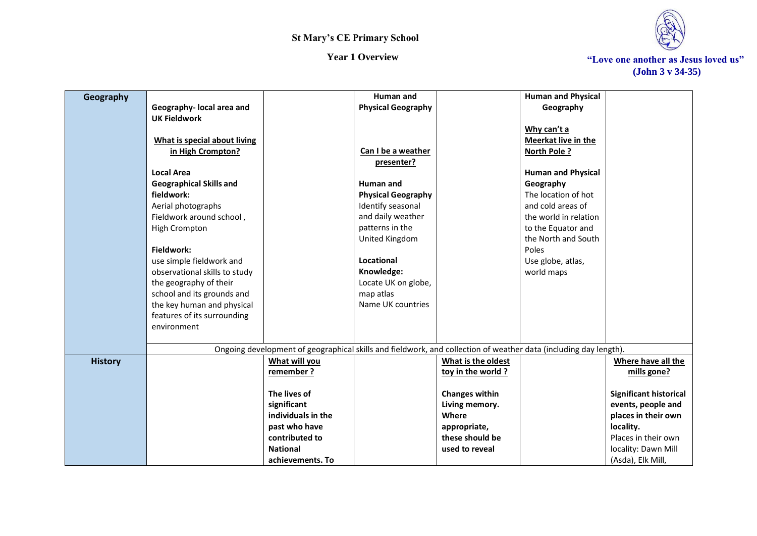

*Year 1 Overview* **The Section of The Section 4 (Section 4 ) We are the Section 4 (Section 4 ) We are another as Jesus loved us" (John 3 v 34-35)**

| Geography      |                                |                                                                                                                  | Human and                 |                       | <b>Human and Physical</b>  |                               |
|----------------|--------------------------------|------------------------------------------------------------------------------------------------------------------|---------------------------|-----------------------|----------------------------|-------------------------------|
|                | Geography- local area and      |                                                                                                                  | <b>Physical Geography</b> |                       | Geography                  |                               |
|                | <b>UK Fieldwork</b>            |                                                                                                                  |                           |                       |                            |                               |
|                |                                |                                                                                                                  |                           |                       | Why can't a                |                               |
|                | What is special about living   |                                                                                                                  |                           |                       | <b>Meerkat live in the</b> |                               |
|                | in High Crompton?              |                                                                                                                  | Can I be a weather        |                       | <b>North Pole?</b>         |                               |
|                |                                |                                                                                                                  | presenter?                |                       |                            |                               |
|                | <b>Local Area</b>              |                                                                                                                  |                           |                       | <b>Human and Physical</b>  |                               |
|                | <b>Geographical Skills and</b> |                                                                                                                  | Human and                 |                       | Geography                  |                               |
|                | fieldwork:                     |                                                                                                                  | <b>Physical Geography</b> |                       | The location of hot        |                               |
|                | Aerial photographs             |                                                                                                                  | Identify seasonal         |                       | and cold areas of          |                               |
|                | Fieldwork around school,       |                                                                                                                  | and daily weather         |                       | the world in relation      |                               |
|                | High Crompton                  |                                                                                                                  | patterns in the           |                       | to the Equator and         |                               |
|                |                                |                                                                                                                  | United Kingdom            |                       | the North and South        |                               |
|                | Fieldwork:                     |                                                                                                                  |                           |                       | Poles                      |                               |
|                | use simple fieldwork and       |                                                                                                                  | Locational                |                       | Use globe, atlas,          |                               |
|                | observational skills to study  |                                                                                                                  | Knowledge:                |                       | world maps                 |                               |
|                | the geography of their         |                                                                                                                  | Locate UK on globe,       |                       |                            |                               |
|                | school and its grounds and     |                                                                                                                  | map atlas                 |                       |                            |                               |
|                | the key human and physical     |                                                                                                                  | Name UK countries         |                       |                            |                               |
|                | features of its surrounding    |                                                                                                                  |                           |                       |                            |                               |
|                | environment                    |                                                                                                                  |                           |                       |                            |                               |
|                |                                |                                                                                                                  |                           |                       |                            |                               |
|                |                                | Ongoing development of geographical skills and fieldwork, and collection of weather data (including day length). |                           |                       |                            |                               |
| <b>History</b> |                                | What will you                                                                                                    |                           | What is the oldest    |                            | Where have all the            |
|                |                                | remember?                                                                                                        |                           | toy in the world ?    |                            | mills gone?                   |
|                |                                |                                                                                                                  |                           |                       |                            |                               |
|                |                                | The lives of                                                                                                     |                           | <b>Changes within</b> |                            | <b>Significant historical</b> |
|                |                                | significant                                                                                                      |                           | Living memory.        |                            | events, people and            |
|                |                                | individuals in the                                                                                               |                           | Where                 |                            | places in their own           |
|                |                                | past who have                                                                                                    |                           | appropriate,          |                            | locality.                     |
|                |                                | contributed to                                                                                                   |                           | these should be       |                            | Places in their own           |
|                |                                | <b>National</b>                                                                                                  |                           | used to reveal        |                            | locality: Dawn Mill           |
|                |                                | achievements. To                                                                                                 |                           |                       |                            | (Asda), Elk Mill,             |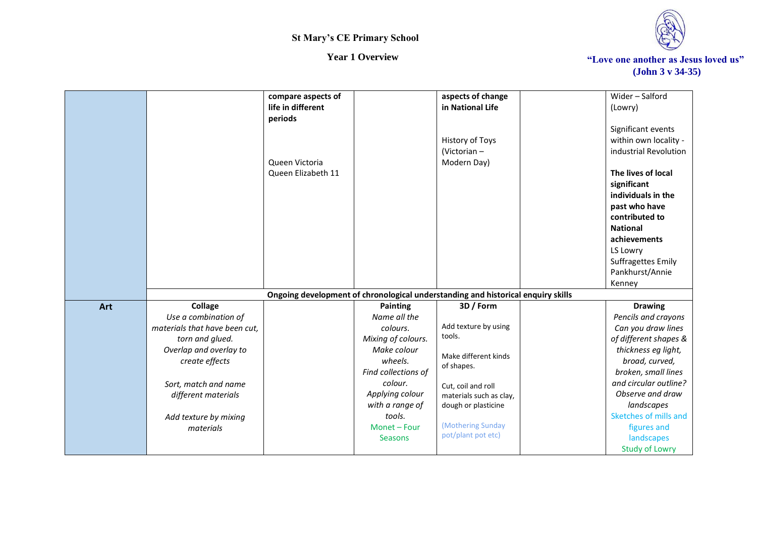

|     |                               | compare aspects of                                                               |                     | aspects of change       |                 | Wider-Salford                       |
|-----|-------------------------------|----------------------------------------------------------------------------------|---------------------|-------------------------|-----------------|-------------------------------------|
|     |                               | life in different                                                                |                     | in National Life        | (Lowry)         |                                     |
|     |                               | periods                                                                          |                     |                         |                 |                                     |
|     |                               |                                                                                  |                     |                         |                 | Significant events                  |
|     |                               |                                                                                  |                     | History of Toys         |                 | within own locality -               |
|     |                               |                                                                                  |                     | (Victorian -            |                 | industrial Revolution               |
|     |                               | Queen Victoria                                                                   |                     | Modern Day)             |                 |                                     |
|     |                               | Queen Elizabeth 11                                                               |                     |                         |                 | The lives of local                  |
|     |                               |                                                                                  |                     |                         | significant     |                                     |
|     |                               |                                                                                  |                     |                         |                 | individuals in the                  |
|     |                               |                                                                                  |                     |                         |                 | past who have                       |
|     |                               |                                                                                  |                     |                         |                 | contributed to                      |
|     |                               |                                                                                  |                     |                         | <b>National</b> |                                     |
|     |                               |                                                                                  |                     |                         |                 | achievements                        |
|     |                               |                                                                                  |                     |                         | LS Lowry        |                                     |
|     |                               |                                                                                  |                     |                         |                 | Suffragettes Emily                  |
|     |                               |                                                                                  |                     |                         |                 | Pankhurst/Annie                     |
|     |                               |                                                                                  |                     |                         | Kenney          |                                     |
|     |                               | Ongoing development of chronological understanding and historical enquiry skills |                     |                         |                 |                                     |
| Art | Collage                       |                                                                                  | <b>Painting</b>     | 3D / Form               |                 | <b>Drawing</b>                      |
|     | Use a combination of          |                                                                                  | Name all the        |                         |                 | Pencils and crayons                 |
|     | materials that have been cut, |                                                                                  | colours.            | Add texture by using    |                 | Can you draw lines                  |
|     | torn and glued.               |                                                                                  | Mixing of colours.  | tools.                  |                 | of different shapes &               |
|     | Overlap and overlay to        |                                                                                  | Make colour         | Make different kinds    |                 | thickness eg light,                 |
|     | create effects                |                                                                                  | wheels.             | of shapes.              |                 | broad, curved,                      |
|     |                               |                                                                                  | Find collections of |                         |                 | broken, small lines                 |
|     |                               |                                                                                  |                     |                         |                 |                                     |
|     | Sort, match and name          |                                                                                  | colour.             | Cut, coil and roll      |                 | and circular outline?               |
|     | different materials           |                                                                                  | Applying colour     | materials such as clay, |                 | Observe and draw                    |
|     |                               |                                                                                  | with a range of     | dough or plasticine     |                 | landscapes                          |
|     | Add texture by mixing         |                                                                                  | tools.              |                         |                 | Sketches of mills and               |
|     | materials                     |                                                                                  | Monet - Four        | (Mothering Sunday       |                 | figures and                         |
|     |                               |                                                                                  | <b>Seasons</b>      | pot/plant pot etc)      |                 | landscapes<br><b>Study of Lowry</b> |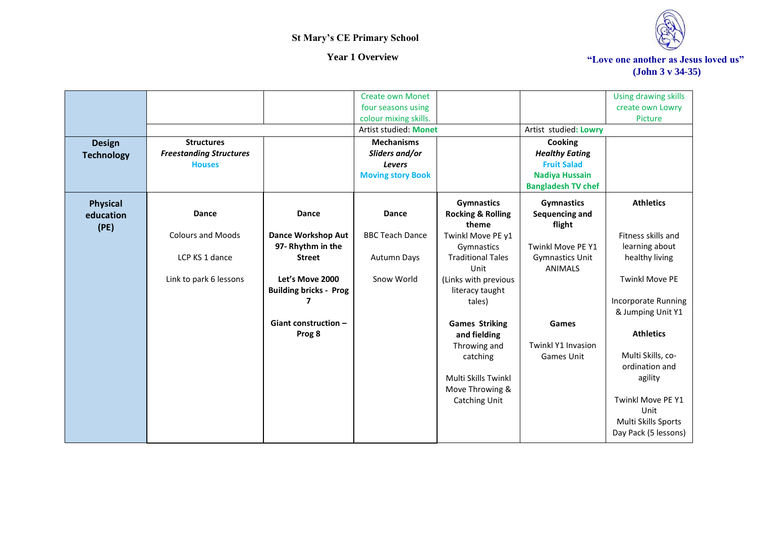

*Year 1 Overview* **The Section of The Section 4 (Section 4 ) We are the Section 4 (Section 4 ) We are another as Jesus loved us" (John 3 v 34-35)**

|                   |                                |                               | <b>Create own Monet</b>  |                              |                           | Using drawing skills       |
|-------------------|--------------------------------|-------------------------------|--------------------------|------------------------------|---------------------------|----------------------------|
|                   |                                |                               | four seasons using       |                              |                           | create own Lowry           |
|                   |                                |                               | colour mixing skills.    |                              |                           | Picture                    |
|                   |                                |                               | Artist studied: Monet    |                              | Artist studied: Lowry     |                            |
| <b>Design</b>     | <b>Structures</b>              |                               | <b>Mechanisms</b>        |                              | Cooking                   |                            |
| <b>Technology</b> | <b>Freestanding Structures</b> |                               | Sliders and/or           |                              | <b>Healthy Eating</b>     |                            |
|                   | <b>Houses</b>                  |                               | Levers                   |                              | <b>Fruit Salad</b>        |                            |
|                   |                                |                               | <b>Moving story Book</b> |                              | <b>Nadiya Hussain</b>     |                            |
|                   |                                |                               |                          |                              | <b>Bangladesh TV chef</b> |                            |
| <b>Physical</b>   |                                |                               |                          | <b>Gymnastics</b>            | <b>Gymnastics</b>         | <b>Athletics</b>           |
| education         | <b>Dance</b>                   | <b>Dance</b>                  | <b>Dance</b>             | <b>Rocking &amp; Rolling</b> | Sequencing and            |                            |
| (PE)              |                                |                               |                          | theme                        | flight                    |                            |
|                   | <b>Colours and Moods</b>       | <b>Dance Workshop Aut</b>     | <b>BBC Teach Dance</b>   | Twinkl Move PE y1            |                           | Fitness skills and         |
|                   |                                | 97- Rhythm in the             |                          | Gymnastics                   | Twinkl Move PE Y1         | learning about             |
|                   | LCP KS 1 dance                 | <b>Street</b>                 | <b>Autumn Days</b>       | <b>Traditional Tales</b>     | <b>Gymnastics Unit</b>    | healthy living             |
|                   |                                |                               |                          | Unit                         | <b>ANIMALS</b>            |                            |
|                   | Link to park 6 lessons         | Let's Move 2000               | Snow World               | (Links with previous         |                           | <b>Twinkl Move PE</b>      |
|                   |                                | <b>Building bricks - Prog</b> |                          | literacy taught              |                           |                            |
|                   |                                |                               |                          | tales)                       |                           | <b>Incorporate Running</b> |
|                   |                                |                               |                          |                              |                           | & Jumping Unit Y1          |
|                   |                                | Giant construction $-$        |                          | <b>Games Striking</b>        | Games                     |                            |
|                   |                                | Prog 8                        |                          | and fielding                 |                           | <b>Athletics</b>           |
|                   |                                |                               |                          | Throwing and                 | <b>Twinkl Y1 Invasion</b> | Multi Skills, co-          |
|                   |                                |                               |                          | catching                     | Games Unit                | ordination and             |
|                   |                                |                               |                          | Multi Skills Twinkl          |                           | agility                    |
|                   |                                |                               |                          | Move Throwing &              |                           |                            |
|                   |                                |                               |                          | <b>Catching Unit</b>         |                           | Twinkl Move PE Y1          |
|                   |                                |                               |                          |                              |                           | Unit                       |
|                   |                                |                               |                          |                              |                           | Multi Skills Sports        |
|                   |                                |                               |                          |                              |                           | Day Pack (5 lessons)       |
|                   |                                |                               |                          |                              |                           |                            |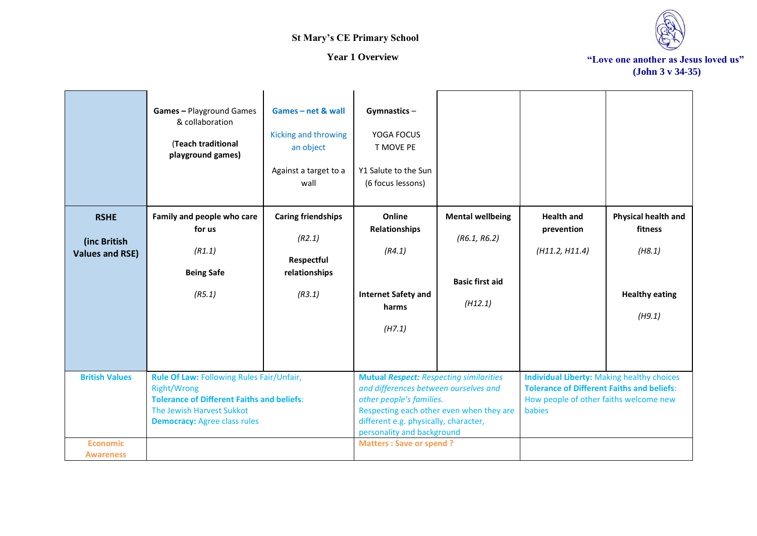



|                                                       | Games - Playground Games<br>& collaboration<br>(Teach traditional<br>playground games)                                                                                                   | Games-net & wall<br>Kicking and throwing<br>an object<br>Against a target to a<br>wall | Gymnastics-<br>YOGA FOCUS<br>T MOVE PE<br>Y1 Salute to the Sun<br>(6 focus lessons)                                                                                                                                                                                      |                                                                              |                                                                                                                                                            |                                                                                    |
|-------------------------------------------------------|------------------------------------------------------------------------------------------------------------------------------------------------------------------------------------------|----------------------------------------------------------------------------------------|--------------------------------------------------------------------------------------------------------------------------------------------------------------------------------------------------------------------------------------------------------------------------|------------------------------------------------------------------------------|------------------------------------------------------------------------------------------------------------------------------------------------------------|------------------------------------------------------------------------------------|
| <b>RSHE</b><br>(inc British<br><b>Values and RSE)</b> | Family and people who care<br>for us<br>(R1.1)<br><b>Being Safe</b><br>(R5.1)                                                                                                            | <b>Caring friendships</b><br>(R2.1)<br>Respectful<br>relationships<br>(R3.1)           | Online<br><b>Relationships</b><br>(R4.1)<br><b>Internet Safety and</b><br>harms<br>(H7.1)                                                                                                                                                                                | <b>Mental wellbeing</b><br>(R6.1, R6.2)<br><b>Basic first aid</b><br>(H12.1) | <b>Health and</b><br>prevention<br>(H11.2, H11.4)                                                                                                          | <b>Physical health and</b><br>fitness<br>(H8.1)<br><b>Healthy eating</b><br>(H9.1) |
| <b>British Values</b><br><b>Economic</b>              | Rule Of Law: Following Rules Fair/Unfair,<br><b>Right/Wrong</b><br><b>Tolerance of Different Faiths and beliefs:</b><br>The Jewish Harvest Sukkot<br><b>Democracy: Agree class rules</b> |                                                                                        | <b>Mutual Respect: Respecting similarities</b><br>and differences between ourselves and<br>other people's families.<br>Respecting each other even when they are<br>different e.g. physically, character,<br>personality and background<br><b>Matters: Save or spend?</b> |                                                                              | <b>Individual Liberty: Making healthy choices</b><br><b>Tolerance of Different Faiths and beliefs:</b><br>How people of other faiths welcome new<br>babies |                                                                                    |
| <b>Awareness</b>                                      |                                                                                                                                                                                          |                                                                                        |                                                                                                                                                                                                                                                                          |                                                                              |                                                                                                                                                            |                                                                                    |